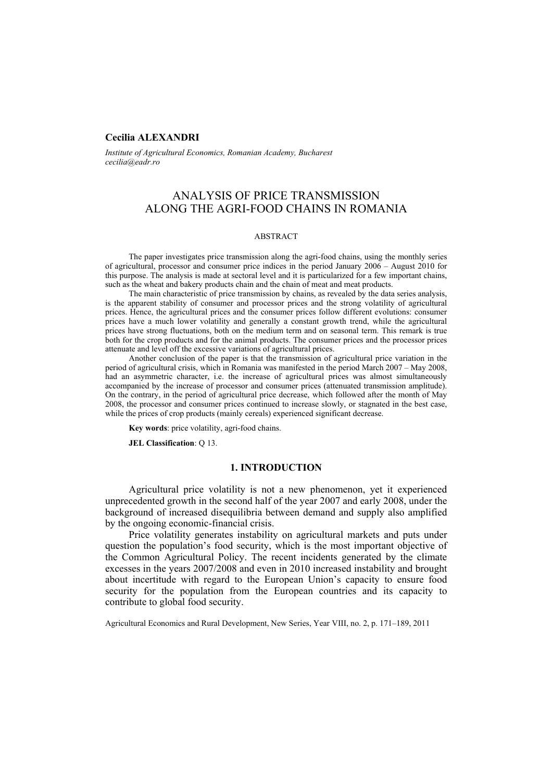# **Cecilia ALEXANDRI**

*Institute of Agricultural Economics, Romanian Academy, Bucharest cecilia@eadr.ro* 

# ANALYSIS OF PRICE TRANSMISSION ALONG THE AGRI-FOOD CHAINS IN ROMANIA

#### ABSTRACT

The paper investigates price transmission along the agri-food chains, using the monthly series of agricultural, processor and consumer price indices in the period January 2006 – August 2010 for this purpose. The analysis is made at sectoral level and it is particularized for a few important chains, such as the wheat and bakery products chain and the chain of meat and meat products.

The main characteristic of price transmission by chains, as revealed by the data series analysis, is the apparent stability of consumer and processor prices and the strong volatility of agricultural prices. Hence, the agricultural prices and the consumer prices follow different evolutions: consumer prices have a much lower volatility and generally a constant growth trend, while the agricultural prices have strong fluctuations, both on the medium term and on seasonal term. This remark is true both for the crop products and for the animal products. The consumer prices and the processor prices attenuate and level off the excessive variations of agricultural prices.

Another conclusion of the paper is that the transmission of agricultural price variation in the period of agricultural crisis, which in Romania was manifested in the period March 2007 – May 2008, had an asymmetric character, i.e. the increase of agricultural prices was almost simultaneously accompanied by the increase of processor and consumer prices (attenuated transmission amplitude). On the contrary, in the period of agricultural price decrease, which followed after the month of May 2008, the processor and consumer prices continued to increase slowly, or stagnated in the best case, while the prices of crop products (mainly cereals) experienced significant decrease.

**Key words**: price volatility, agri-food chains.

**JEL Classification**: Q 13.

### **1. INTRODUCTION**

Agricultural price volatility is not a new phenomenon, yet it experienced unprecedented growth in the second half of the year 2007 and early 2008, under the background of increased disequilibria between demand and supply also amplified by the ongoing economic-financial crisis.

Price volatility generates instability on agricultural markets and puts under question the population's food security, which is the most important objective of the Common Agricultural Policy. The recent incidents generated by the climate excesses in the years 2007/2008 and even in 2010 increased instability and brought about incertitude with regard to the European Union's capacity to ensure food security for the population from the European countries and its capacity to contribute to global food security.

Agricultural Economics and Rural Development, New Series, Year VIII, no. 2, p. 171–189, 2011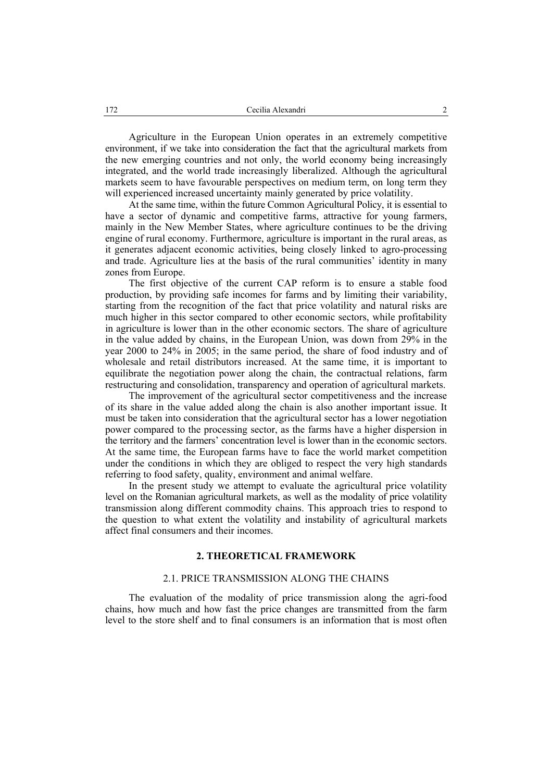Agriculture in the European Union operates in an extremely competitive environment, if we take into consideration the fact that the agricultural markets from the new emerging countries and not only, the world economy being increasingly integrated, and the world trade increasingly liberalized. Although the agricultural markets seem to have favourable perspectives on medium term, on long term they will experienced increased uncertainty mainly generated by price volatility.

At the same time, within the future Common Agricultural Policy, it is essential to have a sector of dynamic and competitive farms, attractive for young farmers, mainly in the New Member States, where agriculture continues to be the driving engine of rural economy. Furthermore, agriculture is important in the rural areas, as it generates adjacent economic activities, being closely linked to agro-processing and trade. Agriculture lies at the basis of the rural communities' identity in many zones from Europe.

The first objective of the current CAP reform is to ensure a stable food production, by providing safe incomes for farms and by limiting their variability, starting from the recognition of the fact that price volatility and natural risks are much higher in this sector compared to other economic sectors, while profitability in agriculture is lower than in the other economic sectors. The share of agriculture in the value added by chains, in the European Union, was down from 29% in the year 2000 to 24% in 2005; in the same period, the share of food industry and of wholesale and retail distributors increased. At the same time, it is important to equilibrate the negotiation power along the chain, the contractual relations, farm restructuring and consolidation, transparency and operation of agricultural markets.

The improvement of the agricultural sector competitiveness and the increase of its share in the value added along the chain is also another important issue. It must be taken into consideration that the agricultural sector has a lower negotiation power compared to the processing sector, as the farms have a higher dispersion in the territory and the farmers' concentration level is lower than in the economic sectors. At the same time, the European farms have to face the world market competition under the conditions in which they are obliged to respect the very high standards referring to food safety, quality, environment and animal welfare.

In the present study we attempt to evaluate the agricultural price volatility level on the Romanian agricultural markets, as well as the modality of price volatility transmission along different commodity chains. This approach tries to respond to the question to what extent the volatility and instability of agricultural markets affect final consumers and their incomes.

# **2. THEORETICAL FRAMEWORK**

# 2.1. PRICE TRANSMISSION ALONG THE CHAINS

The evaluation of the modality of price transmission along the agri-food chains, how much and how fast the price changes are transmitted from the farm level to the store shelf and to final consumers is an information that is most often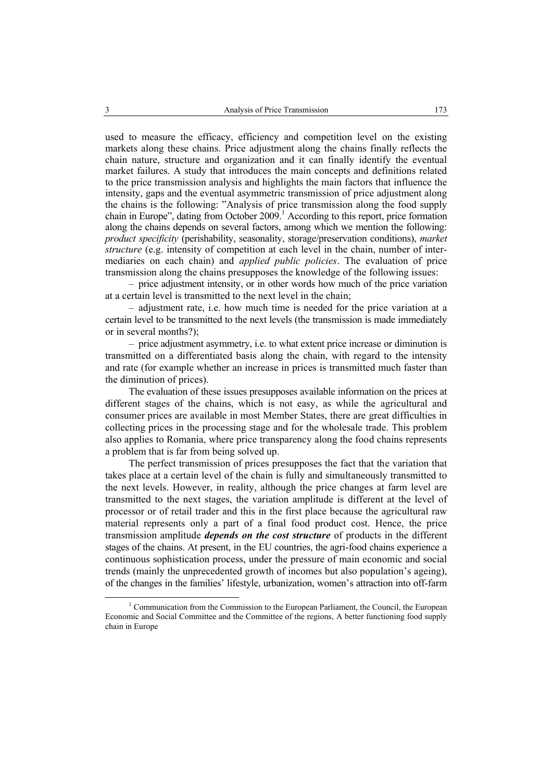used to measure the efficacy, efficiency and competition level on the existing markets along these chains. Price adjustment along the chains finally reflects the chain nature, structure and organization and it can finally identify the eventual market failures. A study that introduces the main concepts and definitions related to the price transmission analysis and highlights the main factors that influence the intensity, gaps and the eventual asymmetric transmission of price adjustment along the chains is the following: "Analysis of price transmission along the food supply chain in Europe", dating from October 2009.<sup>1</sup> According to this report, price formation along the chains depends on several factors, among which we mention the following: *product specificity* (perishability, seasonality, storage/preservation conditions), *market structure* (e.g. intensity of competition at each level in the chain, number of intermediaries on each chain) and *applied public policies*. The evaluation of price transmission along the chains presupposes the knowledge of the following issues:

– price adjustment intensity, or in other words how much of the price variation at a certain level is transmitted to the next level in the chain;

– adjustment rate, i.e. how much time is needed for the price variation at a certain level to be transmitted to the next levels (the transmission is made immediately or in several months?);

– price adjustment asymmetry, i.e. to what extent price increase or diminution is transmitted on a differentiated basis along the chain, with regard to the intensity and rate (for example whether an increase in prices is transmitted much faster than the diminution of prices).

The evaluation of these issues presupposes available information on the prices at different stages of the chains, which is not easy, as while the agricultural and consumer prices are available in most Member States, there are great difficulties in collecting prices in the processing stage and for the wholesale trade. This problem also applies to Romania, where price transparency along the food chains represents a problem that is far from being solved up.

The perfect transmission of prices presupposes the fact that the variation that takes place at a certain level of the chain is fully and simultaneously transmitted to the next levels. However, in reality, although the price changes at farm level are transmitted to the next stages, the variation amplitude is different at the level of processor or of retail trader and this in the first place because the agricultural raw material represents only a part of a final food product cost. Hence, the price transmission amplitude *depends on the cost structure* of products in the different stages of the chains. At present, in the EU countries, the agri-food chains experience a continuous sophistication process, under the pressure of main economic and social trends (mainly the unprecedented growth of incomes but also population's ageing), of the changes in the families' lifestyle, urbanization, women's attraction into off-farm

 $\frac{1}{1}$ <sup>1</sup> Communication from the Commission to the European Parliament, the Council, the European Economic and Social Committee and the Committee of the regions, A better functioning food supply chain in Europe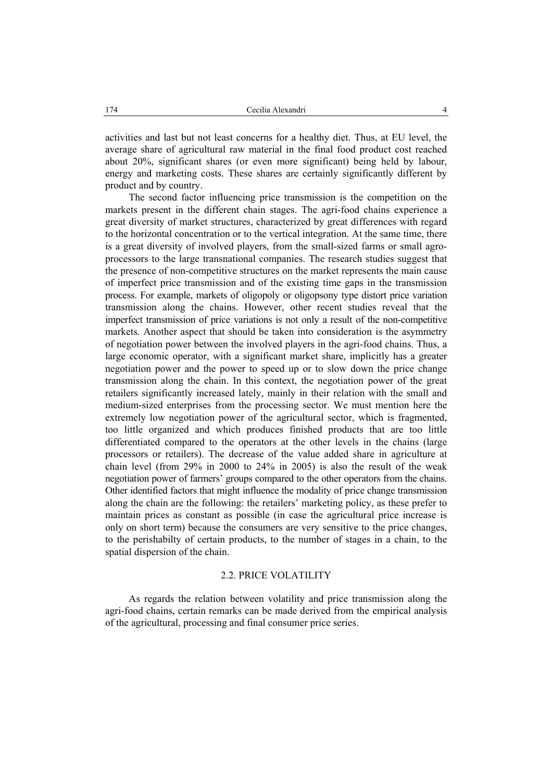activities and last but not least concerns for a healthy diet. Thus, at EU level, the average share of agricultural raw material in the final food product cost reached about 20%, significant shares (or even more significant) being held by labour, energy and marketing costs. These shares are certainly significantly different by product and by country.

The second factor influencing price transmission is the competition on the markets present in the different chain stages. The agri-food chains experience a great diversity of market structures, characterized by great differences with regard to the horizontal concentration or to the vertical integration. At the same time, there is a great diversity of involved players, from the small-sized farms or small agroprocessors to the large transnational companies. The research studies suggest that the presence of non-competitive structures on the market represents the main cause of imperfect price transmission and of the existing time gaps in the transmission process. For example, markets of oligopoly or oligopsony type distort price variation transmission along the chains. However, other recent studies reveal that the imperfect transmission of price variations is not only a result of the non-competitive markets. Another aspect that should be taken into consideration is the asymmetry of negotiation power between the involved players in the agri-food chains. Thus, a large economic operator, with a significant market share, implicitly has a greater negotiation power and the power to speed up or to slow down the price change transmission along the chain. In this context, the negotiation power of the great retailers significantly increased lately, mainly in their relation with the small and medium-sized enterprises from the processing sector. We must mention here the extremely low negotiation power of the agricultural sector, which is fragmented, too little organized and which produces finished products that are too little differentiated compared to the operators at the other levels in the chains (large processors or retailers). The decrease of the value added share in agriculture at chain level (from 29% in 2000 to 24% in 2005) is also the result of the weak negotiation power of farmers' groups compared to the other operators from the chains. Other identified factors that might influence the modality of price change transmission along the chain are the following: the retailers' marketing policy, as these prefer to maintain prices as constant as possible (in case the agricultural price increase is only on short term) because the consumers are very sensitive to the price changes, to the perishabilty of certain products, to the number of stages in a chain, to the spatial dispersion of the chain.

#### 2.2. PRICE VOLATILITY

As regards the relation between volatility and price transmission along the agri-food chains, certain remarks can be made derived from the empirical analysis of the agricultural, processing and final consumer price series.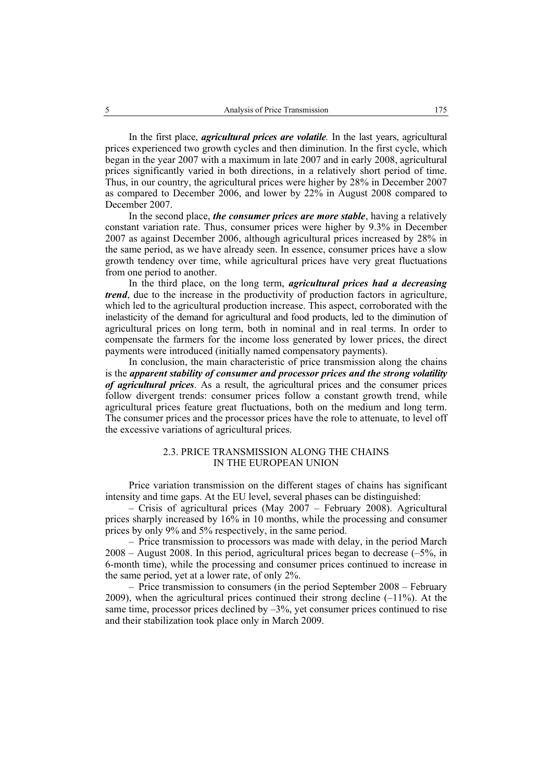In the first place, *agricultural prices are volatile.* In the last years, agricultural prices experienced two growth cycles and then diminution. In the first cycle, which began in the year 2007 with a maximum in late 2007 and in early 2008, agricultural prices significantly varied in both directions, in a relatively short period of time. Thus, in our country, the agricultural prices were higher by 28% in December 2007 as compared to December 2006, and lower by 22% in August 2008 compared to December 2007.

In the second place, *the consumer prices are more stable*, having a relatively constant variation rate. Thus, consumer prices were higher by 9.3% in December 2007 as against December 2006, although agricultural prices increased by 28% in the same period, as we have already seen. In essence, consumer prices have a slow growth tendency over time, while agricultural prices have very great fluctuations from one period to another.

In the third place, on the long term, *agricultural prices had a decreasing trend*, due to the increase in the productivity of production factors in agriculture, which led to the agricultural production increase. This aspect, corroborated with the inelasticity of the demand for agricultural and food products, led to the diminution of agricultural prices on long term, both in nominal and in real terms. In order to compensate the farmers for the income loss generated by lower prices, the direct payments were introduced (initially named compensatory payments).

In conclusion, the main characteristic of price transmission along the chains is the *apparent stability of consumer and processor prices and the strong volatility of agricultural prices*. As a result, the agricultural prices and the consumer prices follow divergent trends: consumer prices follow a constant growth trend, while agricultural prices feature great fluctuations, both on the medium and long term. The consumer prices and the processor prices have the role to attenuate, to level off the excessive variations of agricultural prices.

# 2.3. PRICE TRANSMISSION ALONG THE CHAINS IN THE EUROPEAN UNION

Price variation transmission on the different stages of chains has significant intensity and time gaps. At the EU level, several phases can be distinguished:

– Crisis of agricultural prices (May 2007 – February 2008). Agricultural prices sharply increased by 16% in 10 months, while the processing and consumer prices by only 9% and 5% respectively, in the same period.

– Price transmission to processors was made with delay, in the period March  $2008 -$  August 2008. In this period, agricultural prices began to decrease  $(-5\%$ , in 6-month time), while the processing and consumer prices continued to increase in the same period, yet at a lower rate, of only 2%.

– Price transmission to consumers (in the period September 2008 – February 2009), when the agricultural prices continued their strong decline  $(-11\%)$ . At the same time, processor prices declined by  $-3\%$ , yet consumer prices continued to rise and their stabilization took place only in March 2009.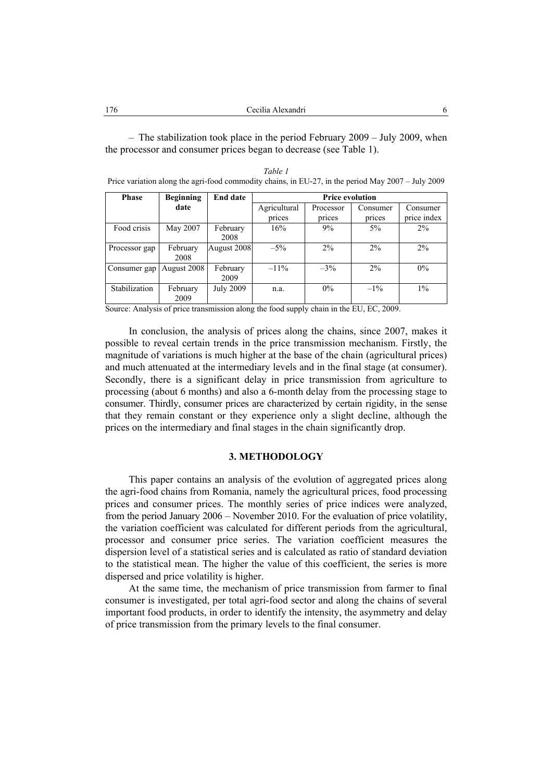– The stabilization took place in the period February 2009 – July 2009, when the processor and consumer prices began to decrease (see Table 1).

*Table 1*  Price variation along the agri-food commodity chains, in EU-27, in the period May 2007 – July 2009

| <b>Phase</b>  | <b>Beginning</b> | <b>End date</b>  | <b>Price evolution</b> |           |          |             |  |
|---------------|------------------|------------------|------------------------|-----------|----------|-------------|--|
|               | date             |                  | Agricultural           | Processor | Consumer | Consumer    |  |
|               |                  |                  | prices                 | prices    | prices   | price index |  |
| Food crisis   | May 2007         | February         | 16%                    | 9%        | 5%       | 2%          |  |
|               |                  | 2008             |                        |           |          |             |  |
| Processor gap | February         | August 2008      | $-5\%$                 | $2\%$     | $2\%$    | $2\%$       |  |
|               | 2008             |                  |                        |           |          |             |  |
| Consumer gap  | August 2008      | February         | $-11\%$                | $-3\%$    | 2%       | $0\%$       |  |
|               |                  | 2009             |                        |           |          |             |  |
| Stabilization | February         | <b>July 2009</b> | n.a.                   | 0%        | $-1\%$   | $1\%$       |  |
|               | 2009             |                  |                        |           |          |             |  |

Source: Analysis of price transmission along the food supply chain in the EU, EC, 2009.

In conclusion, the analysis of prices along the chains, since 2007, makes it possible to reveal certain trends in the price transmission mechanism. Firstly, the magnitude of variations is much higher at the base of the chain (agricultural prices) and much attenuated at the intermediary levels and in the final stage (at consumer). Secondly, there is a significant delay in price transmission from agriculture to processing (about 6 months) and also a 6-month delay from the processing stage to consumer. Thirdly, consumer prices are characterized by certain rigidity, in the sense that they remain constant or they experience only a slight decline, although the prices on the intermediary and final stages in the chain significantly drop.

# **3. METHODOLOGY**

This paper contains an analysis of the evolution of aggregated prices along the agri-food chains from Romania, namely the agricultural prices, food processing prices and consumer prices. The monthly series of price indices were analyzed, from the period January 2006 – November 2010. For the evaluation of price volatility, the variation coefficient was calculated for different periods from the agricultural, processor and consumer price series. The variation coefficient measures the dispersion level of a statistical series and is calculated as ratio of standard deviation to the statistical mean. The higher the value of this coefficient, the series is more dispersed and price volatility is higher.

At the same time, the mechanism of price transmission from farmer to final consumer is investigated, per total agri-food sector and along the chains of several important food products, in order to identify the intensity, the asymmetry and delay of price transmission from the primary levels to the final consumer.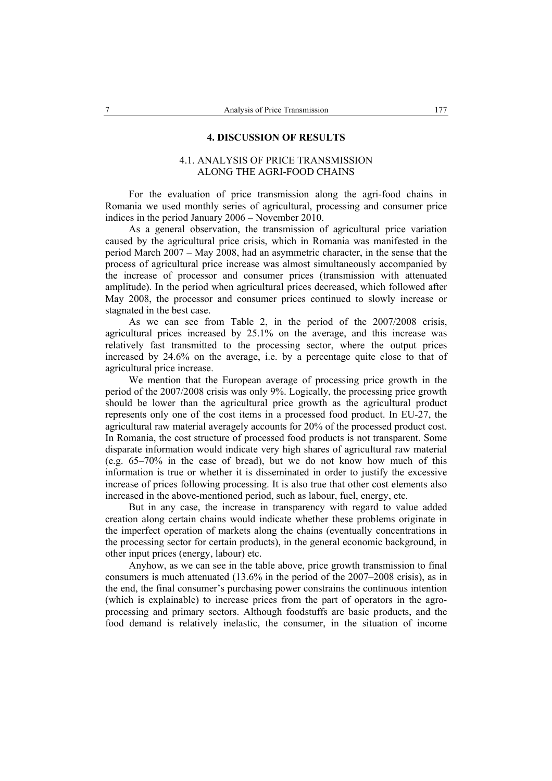### **4. DISCUSSION OF RESULTS**

# 4.1. ANALYSIS OF PRICE TRANSMISSION ALONG THE AGRI-FOOD CHAINS

For the evaluation of price transmission along the agri-food chains in Romania we used monthly series of agricultural, processing and consumer price indices in the period January 2006 – November 2010.

As a general observation, the transmission of agricultural price variation caused by the agricultural price crisis, which in Romania was manifested in the period March 2007 – May 2008, had an asymmetric character, in the sense that the process of agricultural price increase was almost simultaneously accompanied by the increase of processor and consumer prices (transmission with attenuated amplitude). In the period when agricultural prices decreased, which followed after May 2008, the processor and consumer prices continued to slowly increase or stagnated in the best case.

As we can see from Table 2, in the period of the 2007/2008 crisis, agricultural prices increased by 25.1% on the average, and this increase was relatively fast transmitted to the processing sector, where the output prices increased by 24.6% on the average, i.e. by a percentage quite close to that of agricultural price increase.

We mention that the European average of processing price growth in the period of the 2007/2008 crisis was only 9%. Logically, the processing price growth should be lower than the agricultural price growth as the agricultural product represents only one of the cost items in a processed food product. In EU-27, the agricultural raw material averagely accounts for 20% of the processed product cost. In Romania, the cost structure of processed food products is not transparent. Some disparate information would indicate very high shares of agricultural raw material (e.g. 65–70% in the case of bread), but we do not know how much of this information is true or whether it is disseminated in order to justify the excessive increase of prices following processing. It is also true that other cost elements also increased in the above-mentioned period, such as labour, fuel, energy, etc.

But in any case, the increase in transparency with regard to value added creation along certain chains would indicate whether these problems originate in the imperfect operation of markets along the chains (eventually concentrations in the processing sector for certain products), in the general economic background, in other input prices (energy, labour) etc.

Anyhow, as we can see in the table above, price growth transmission to final consumers is much attenuated (13.6% in the period of the 2007–2008 crisis), as in the end, the final consumer's purchasing power constrains the continuous intention (which is explainable) to increase prices from the part of operators in the agroprocessing and primary sectors. Although foodstuffs are basic products, and the food demand is relatively inelastic, the consumer, in the situation of income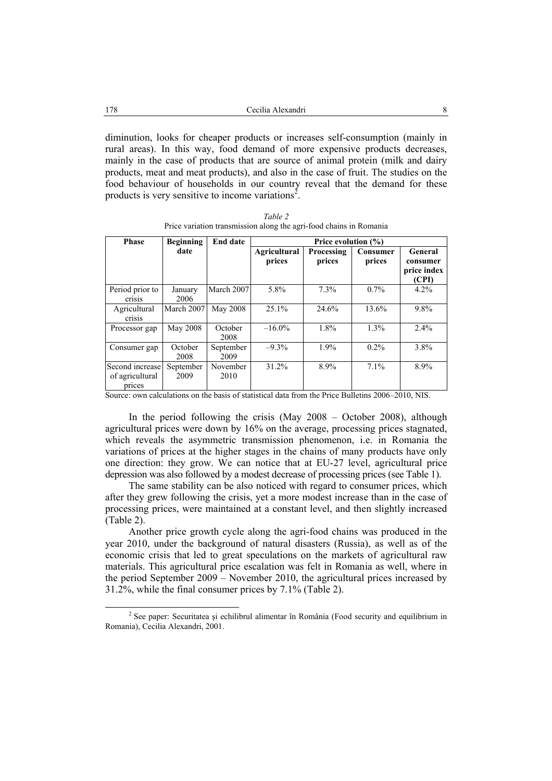diminution, looks for cheaper products or increases self-consumption (mainly in rural areas). In this way, food demand of more expensive products decreases, mainly in the case of products that are source of animal protein (milk and dairy products, meat and meat products), and also in the case of fruit. The studies on the food behaviour of households in our country reveal that the demand for these products is very sensitive to income variations<sup>2</sup>.

| <b>Phase</b>                                 | <b>Beginning</b>  | <b>End date</b>   | Price evolution $(\% )$       |                      |                    |                                             |  |  |
|----------------------------------------------|-------------------|-------------------|-------------------------------|----------------------|--------------------|---------------------------------------------|--|--|
|                                              | date              |                   | <b>Agricultural</b><br>prices | Processing<br>prices | Consumer<br>prices | General<br>consumer<br>price index<br>(CPI) |  |  |
| Period prior to<br><b>Crisis</b>             | January<br>2006   | March 2007        | 5.8%                          | 7.3%                 | $0.7\%$            | 4.2%                                        |  |  |
| Agricultural<br>crisis                       | March 2007        | May 2008          | 25.1%                         | 24.6%                | 13.6%              | 9.8%                                        |  |  |
| Processor gap                                | May 2008          | October<br>2008   | $-16.0\%$                     | 1.8%                 | 1.3%               | $2.4\%$                                     |  |  |
| Consumer gap                                 | October<br>2008   | September<br>2009 | $-9.3%$                       | 1.9%                 | $0.2\%$            | 3.8%                                        |  |  |
| Second increase<br>of agricultural<br>prices | September<br>2009 | November<br>2010  | $31.2\%$                      | 8.9%                 | $7.1\%$            | 8.9%                                        |  |  |

*Table 2*  Price variation transmission along the agri-food chains in Romania

Source: own calculations on the basis of statistical data from the Price Bulletins 2006–2010, NIS.

In the period following the crisis (May 2008 – October 2008), although agricultural prices were down by 16% on the average, processing prices stagnated, which reveals the asymmetric transmission phenomenon, i.e. in Romania the variations of prices at the higher stages in the chains of many products have only one direction: they grow. We can notice that at EU-27 level, agricultural price depression was also followed by a modest decrease of processing prices (see Table 1).

The same stability can be also noticed with regard to consumer prices, which after they grew following the crisis, yet a more modest increase than in the case of processing prices, were maintained at a constant level, and then slightly increased (Table 2).

Another price growth cycle along the agri-food chains was produced in the year 2010, under the background of natural disasters (Russia), as well as of the economic crisis that led to great speculations on the markets of agricultural raw materials. This agricultural price escalation was felt in Romania as well, where in the period September 2009 – November 2010, the agricultural prices increased by 31.2%, while the final consumer prices by 7.1% (Table 2).

<sup>2</sup>  $2$  See paper: Securitatea și echilibrul alimentar în România (Food security and equilibrium in Romania), Cecilia Alexandri, 2001.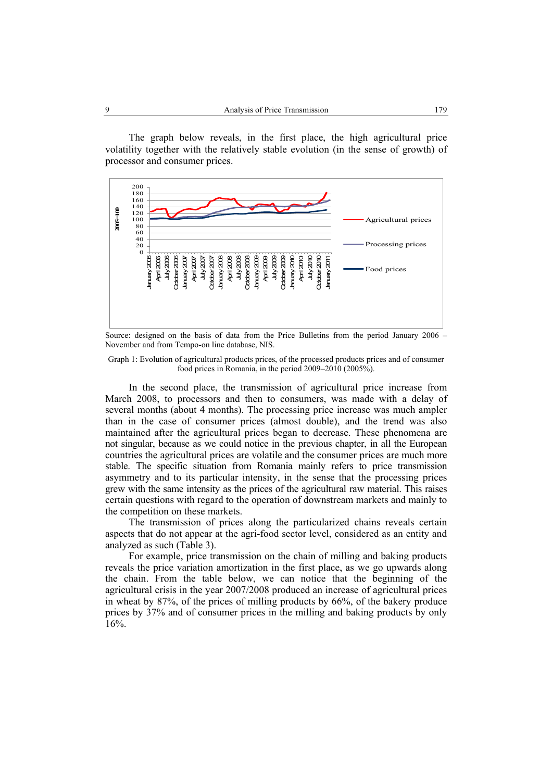The graph below reveals, in the first place, the high agricultural price volatility together with the relatively stable evolution (in the sense of growth) of processor and consumer prices.



Source: designed on the basis of data from the Price Bulletins from the period January 2006 – November and from Tempo-on line database, NIS.

#### Graph 1: Evolution of agricultural products prices, of the processed products prices and of consumer food prices in Romania, in the period 2009–2010 (2005%).

In the second place, the transmission of agricultural price increase from March 2008, to processors and then to consumers, was made with a delay of several months (about 4 months). The processing price increase was much ampler than in the case of consumer prices (almost double), and the trend was also maintained after the agricultural prices began to decrease. These phenomena are not singular, because as we could notice in the previous chapter, in all the European countries the agricultural prices are volatile and the consumer prices are much more stable. The specific situation from Romania mainly refers to price transmission asymmetry and to its particular intensity, in the sense that the processing prices grew with the same intensity as the prices of the agricultural raw material. This raises certain questions with regard to the operation of downstream markets and mainly to the competition on these markets.

The transmission of prices along the particularized chains reveals certain aspects that do not appear at the agri-food sector level, considered as an entity and analyzed as such (Table 3).

For example, price transmission on the chain of milling and baking products reveals the price variation amortization in the first place, as we go upwards along the chain. From the table below, we can notice that the beginning of the agricultural crisis in the year 2007/2008 produced an increase of agricultural prices in wheat by 87%, of the prices of milling products by 66%, of the bakery produce prices by 37% and of consumer prices in the milling and baking products by only 16%.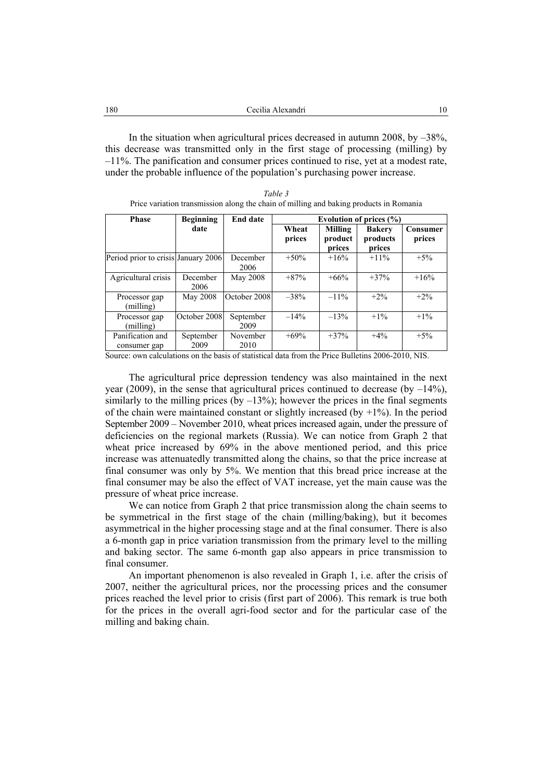| 180 | Cecilia Alexandri |  |
|-----|-------------------|--|
|     |                   |  |

In the situation when agricultural prices decreased in autumn 2008, by  $-38\%$ , this decrease was transmitted only in the first stage of processing (milling) by –11%. The panification and consumer prices continued to rise, yet at a modest rate, under the probable influence of the population's purchasing power increase.

| Table 3                                                                                |  |
|----------------------------------------------------------------------------------------|--|
| Price variation transmission along the chain of milling and baking products in Romania |  |

| <b>Phase</b>                        | <b>Beginning</b>  | <b>End date</b>   | Evolution of prices $(\% )$ |                              |                                     |                    |  |
|-------------------------------------|-------------------|-------------------|-----------------------------|------------------------------|-------------------------------------|--------------------|--|
|                                     | date              |                   | Wheat<br>prices             | Milling<br>product<br>prices | <b>Bakery</b><br>products<br>prices | Consumer<br>prices |  |
| Period prior to crisis January 2006 |                   | December<br>2006  | $+50\%$                     | $+16%$                       | $+11\%$                             | $+5%$              |  |
| Agricultural crisis                 | December<br>2006  | May 2008          | $+87%$                      | $+66%$                       | $+37%$                              | $+16%$             |  |
| Processor gap<br>(milling)          | May 2008          | October 2008      | $-38%$                      | $-11\%$                      | $+2\%$                              | $+2\%$             |  |
| Processor gap<br>(milling)          | October 2008      | September<br>2009 | $-14%$                      | $-13%$                       | $+1\%$                              | $+1\%$             |  |
| Panification and<br>consumer gap    | September<br>2009 | November<br>2010  | $+69%$                      | $+37%$                       | $+4\%$                              | $+5%$              |  |

Source: own calculations on the basis of statistical data from the Price Bulletins 2006-2010, NIS.

The agricultural price depression tendency was also maintained in the next year (2009), in the sense that agricultural prices continued to decrease (by  $-14\%$ ), similarly to the milling prices (by  $-13\%$ ); however the prices in the final segments of the chain were maintained constant or slightly increased (by  $+1\%$ ). In the period September 2009 – November 2010, wheat prices increased again, under the pressure of deficiencies on the regional markets (Russia). We can notice from Graph 2 that wheat price increased by 69% in the above mentioned period, and this price increase was attenuatedly transmitted along the chains, so that the price increase at final consumer was only by 5%. We mention that this bread price increase at the final consumer may be also the effect of VAT increase, yet the main cause was the pressure of wheat price increase.

We can notice from Graph 2 that price transmission along the chain seems to be symmetrical in the first stage of the chain (milling/baking), but it becomes asymmetrical in the higher processing stage and at the final consumer. There is also a 6-month gap in price variation transmission from the primary level to the milling and baking sector. The same 6-month gap also appears in price transmission to final consumer.

An important phenomenon is also revealed in Graph 1, i.e. after the crisis of 2007, neither the agricultural prices, nor the processing prices and the consumer prices reached the level prior to crisis (first part of 2006). This remark is true both for the prices in the overall agri-food sector and for the particular case of the milling and baking chain.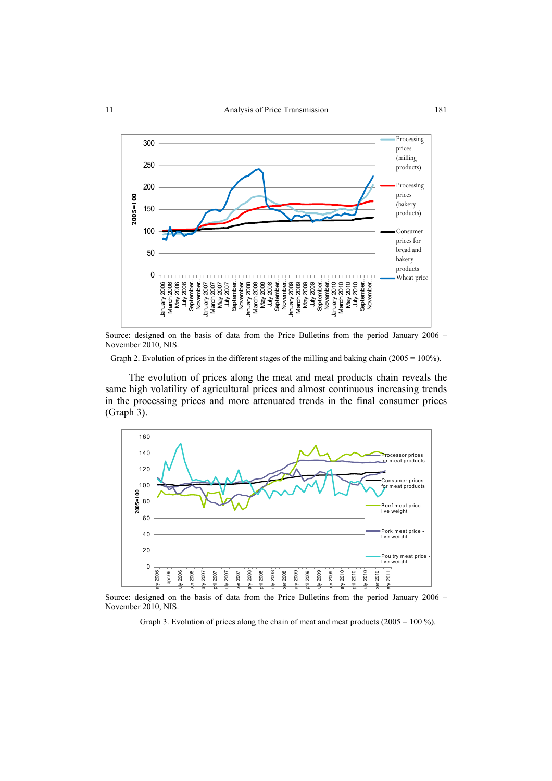

Source: designed on the basis of data from the Price Bulletins from the period January 2006 – November 2010, NIS.

Graph 2. Evolution of prices in the different stages of the milling and baking chain (2005 = 100%).

The evolution of prices along the meat and meat products chain reveals the same high volatility of agricultural prices and almost continuous increasing trends in the processing prices and more attenuated trends in the final consumer prices (Graph 3).



Source: designed on the basis of data from the Price Bulletins from the period January 2006 – November 2010, NIS.

Graph 3. Evolution of prices along the chain of meat and meat products  $(2005 = 100\%)$ .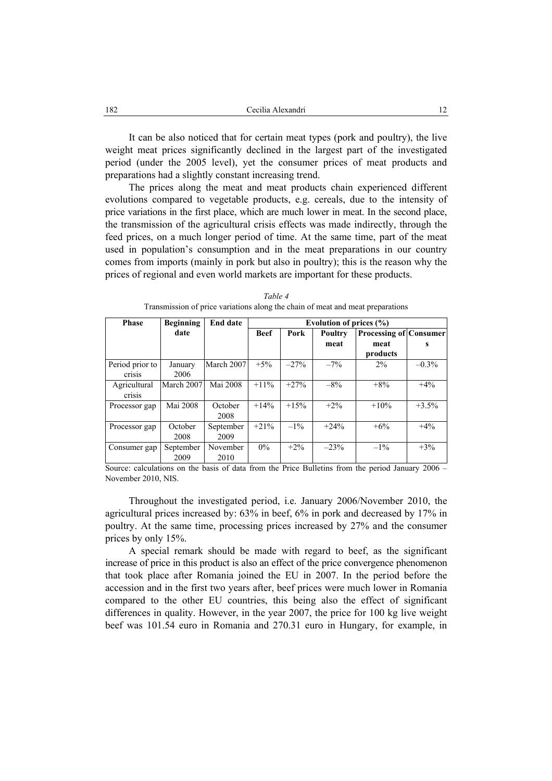It can be also noticed that for certain meat types (pork and poultry), the live weight meat prices significantly declined in the largest part of the investigated period (under the 2005 level), yet the consumer prices of meat products and preparations had a slightly constant increasing trend.

The prices along the meat and meat products chain experienced different evolutions compared to vegetable products, e.g. cereals, due to the intensity of price variations in the first place, which are much lower in meat. In the second place, the transmission of the agricultural crisis effects was made indirectly, through the feed prices, on a much longer period of time. At the same time, part of the meat used in population's consumption and in the meat preparations in our country comes from imports (mainly in pork but also in poultry); this is the reason why the prices of regional and even world markets are important for these products.

| <b>Phase</b>    | <b>Beginning</b> | <b>End date</b> | Evolution of prices $(\% )$ |                 |        |                               |          |  |  |
|-----------------|------------------|-----------------|-----------------------------|-----------------|--------|-------------------------------|----------|--|--|
|                 | date             |                 | <b>Beef</b>                 | Pork<br>Poultry |        | <b>Processing of Consumer</b> |          |  |  |
|                 |                  |                 |                             |                 | meat   | meat                          |          |  |  |
|                 |                  |                 |                             |                 |        | products                      |          |  |  |
| Period prior to | January          | March 2007      | $+5%$                       | $-27%$          | $-7\%$ | $2\%$                         | $-0.3\%$ |  |  |
| crisis          | 2006             |                 |                             |                 |        |                               |          |  |  |
| Agricultural    | March 2007       | Mai 2008        | $+11\%$                     | $+27%$          | $-8\%$ | $+8%$                         | $+4%$    |  |  |
| <b>Crisis</b>   |                  |                 |                             |                 |        |                               |          |  |  |
| Processor gap   | Mai 2008         | October         | $+14%$                      | $+15%$          | $+2%$  | $+10%$                        | $+3.5%$  |  |  |
|                 |                  | 2008            |                             |                 |        |                               |          |  |  |
| Processor gap   | October          | September       | $+21%$                      | $-1\%$          | $+24%$ | $+6\%$                        | $+4%$    |  |  |
|                 | 2008             | 2009            |                             |                 |        |                               |          |  |  |
| Consumer gap    | September        | November        | $0\%$                       | $+2\%$          | $-23%$ | $-1\%$                        | $+3\%$   |  |  |
|                 | 2009             | 2010            |                             |                 |        |                               |          |  |  |

*Table 4*  Transmission of price variations along the chain of meat and meat preparations

Source: calculations on the basis of data from the Price Bulletins from the period January 2006 – November 2010, NIS.

Throughout the investigated period, i.e. January 2006/November 2010, the agricultural prices increased by: 63% in beef, 6% in pork and decreased by 17% in poultry. At the same time, processing prices increased by 27% and the consumer prices by only 15%.

A special remark should be made with regard to beef, as the significant increase of price in this product is also an effect of the price convergence phenomenon that took place after Romania joined the EU in 2007. In the period before the accession and in the first two years after, beef prices were much lower in Romania compared to the other EU countries, this being also the effect of significant differences in quality. However, in the year 2007, the price for 100 kg live weight beef was 101.54 euro in Romania and 270.31 euro in Hungary, for example, in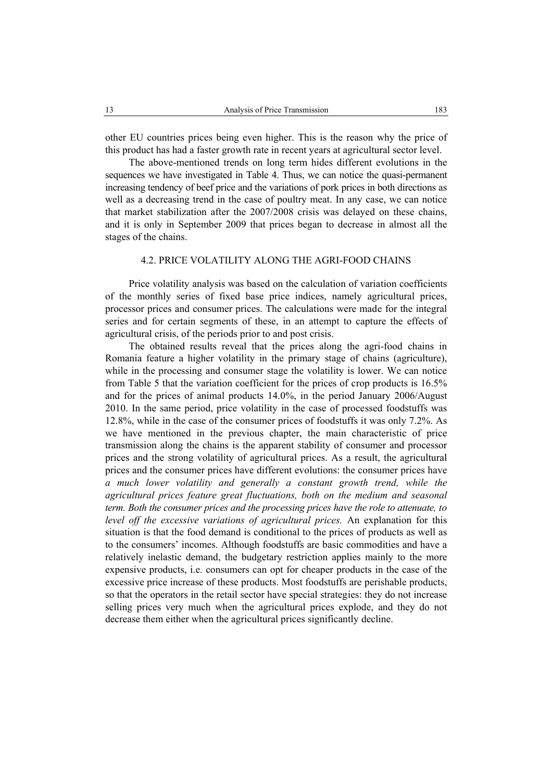other EU countries prices being even higher. This is the reason why the price of this product has had a faster growth rate in recent years at agricultural sector level.

The above-mentioned trends on long term hides different evolutions in the sequences we have investigated in Table 4. Thus, we can notice the quasi-permanent increasing tendency of beef price and the variations of pork prices in both directions as well as a decreasing trend in the case of poultry meat. In any case, we can notice that market stabilization after the 2007/2008 crisis was delayed on these chains, and it is only in September 2009 that prices began to decrease in almost all the stages of the chains.

## 4.2. PRICE VOLATILITY ALONG THE AGRI-FOOD CHAINS

Price volatility analysis was based on the calculation of variation coefficients of the monthly series of fixed base price indices, namely agricultural prices, processor prices and consumer prices. The calculations were made for the integral series and for certain segments of these, in an attempt to capture the effects of agricultural crisis, of the periods prior to and post crisis.

The obtained results reveal that the prices along the agri-food chains in Romania feature a higher volatility in the primary stage of chains (agriculture), while in the processing and consumer stage the volatility is lower. We can notice from Table 5 that the variation coefficient for the prices of crop products is 16.5% and for the prices of animal products 14.0%, in the period January 2006/August 2010. In the same period, price volatility in the case of processed foodstuffs was 12.8%, while in the case of the consumer prices of foodstuffs it was only 7.2%. As we have mentioned in the previous chapter, the main characteristic of price transmission along the chains is the apparent stability of consumer and processor prices and the strong volatility of agricultural prices. As a result, the agricultural prices and the consumer prices have different evolutions: the consumer prices have *a much lower volatility and generally a constant growth trend, while the agricultural prices feature great fluctuations, both on the medium and seasonal term. Both the consumer prices and the processing prices have the role to attenuate, to level off the excessive variations of agricultural prices.* An explanation for this situation is that the food demand is conditional to the prices of products as well as to the consumers' incomes. Although foodstuffs are basic commodities and have a relatively inelastic demand, the budgetary restriction applies mainly to the more expensive products, i.e. consumers can opt for cheaper products in the case of the excessive price increase of these products. Most foodstuffs are perishable products, so that the operators in the retail sector have special strategies: they do not increase selling prices very much when the agricultural prices explode, and they do not decrease them either when the agricultural prices significantly decline.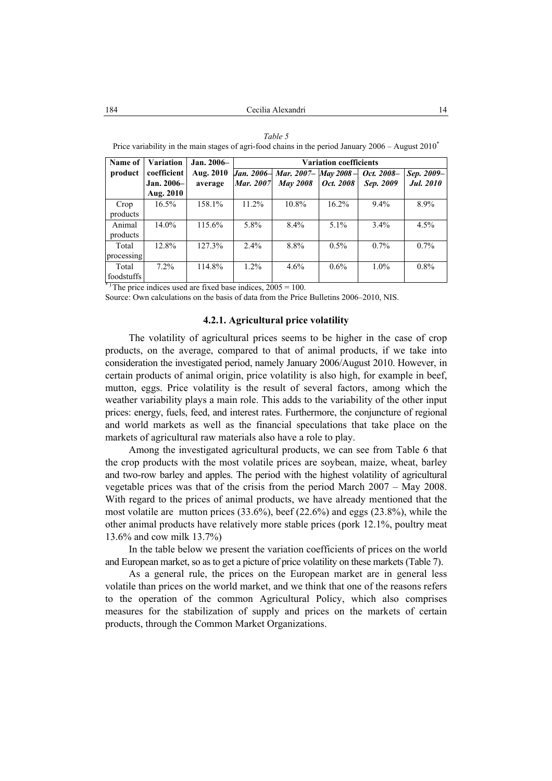|            | $\frac{1}{1000}$ , while the the mean beaged of aght food enamed in the period candal $\frac{1}{10000}$ . The same for $\frac{1}{1000}$ |               |                               |                                 |           |            |            |  |  |  |
|------------|-----------------------------------------------------------------------------------------------------------------------------------------|---------------|-------------------------------|---------------------------------|-----------|------------|------------|--|--|--|
| Name of    | <b>Variation</b>                                                                                                                        | $Jan. 2006 -$ | <b>Variation coefficients</b> |                                 |           |            |            |  |  |  |
| product    | coefficient                                                                                                                             | Aug. 2010     |                               | Jan. 2006- Mar. 2007- May 2008- |           | Oct. 2008- | Sep. 2009- |  |  |  |
|            | Jan. 2006-                                                                                                                              | average       | <b>Mar.</b> 2007              | <b>May 2008</b>                 | Oct. 2008 | Sep. 2009  | Jul. 2010  |  |  |  |
|            | Aug. 2010                                                                                                                               |               |                               |                                 |           |            |            |  |  |  |
| Crop       | $16.5\%$                                                                                                                                | 158.1%        | $11.2\%$                      | 10.8%                           | 16.2%     | $9.4\%$    | 8.9%       |  |  |  |
| products   |                                                                                                                                         |               |                               |                                 |           |            |            |  |  |  |
| Animal     | $14.0\%$                                                                                                                                | 115.6%        | 5.8%                          | 8.4%                            | $5.1\%$   | $3.4\%$    | 4.5%       |  |  |  |
| products   |                                                                                                                                         |               |                               |                                 |           |            |            |  |  |  |
| Total      | 12.8%                                                                                                                                   | 127.3%        | 2.4%                          | 8.8%                            | $0.5\%$   | $0.7\%$    | $0.7\%$    |  |  |  |
| processing |                                                                                                                                         |               |                               |                                 |           |            |            |  |  |  |
| Total      | $7.2\%$                                                                                                                                 | 114.8%        | $1.2\%$                       | 4.6%                            | $0.6\%$   | $1.0\%$    | $0.8\%$    |  |  |  |
| foodstuffs |                                                                                                                                         |               |                               |                                 |           |            |            |  |  |  |

*Table 5*  Price variability in the main stages of agri-food chains in the period January 2006 – August 2010<sup>\*</sup>

 $*$ ) The price indices used are fixed base indices,  $2005 = 100$ .

Source: Own calculations on the basis of data from the Price Bulletins 2006–2010, NIS.

#### **4.2.1. Agricultural price volatility**

The volatility of agricultural prices seems to be higher in the case of crop products, on the average, compared to that of animal products, if we take into consideration the investigated period, namely January 2006/August 2010. However, in certain products of animal origin, price volatility is also high, for example in beef, mutton, eggs. Price volatility is the result of several factors, among which the weather variability plays a main role. This adds to the variability of the other input prices: energy, fuels, feed, and interest rates. Furthermore, the conjuncture of regional and world markets as well as the financial speculations that take place on the markets of agricultural raw materials also have a role to play.

Among the investigated agricultural products, we can see from Table 6 that the crop products with the most volatile prices are soybean, maize, wheat, barley and two-row barley and apples. The period with the highest volatility of agricultural vegetable prices was that of the crisis from the period March 2007 – May 2008. With regard to the prices of animal products, we have already mentioned that the most volatile are mutton prices (33.6%), beef (22.6%) and eggs (23.8%), while the other animal products have relatively more stable prices (pork 12.1%, poultry meat 13.6% and cow milk 13.7%)

In the table below we present the variation coefficients of prices on the world and European market, so as to get a picture of price volatility on these markets (Table 7).

As a general rule, the prices on the European market are in general less volatile than prices on the world market, and we think that one of the reasons refers to the operation of the common Agricultural Policy, which also comprises measures for the stabilization of supply and prices on the markets of certain products, through the Common Market Organizations.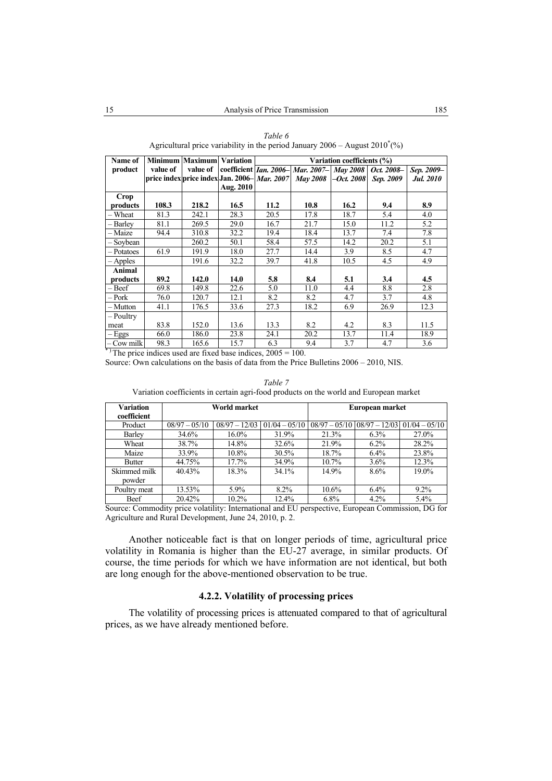| Name of       |                                                       | <b>Minimum Maximum Variation</b> |           |      |                                                   | Variation coefficients (%) |            |                  |
|---------------|-------------------------------------------------------|----------------------------------|-----------|------|---------------------------------------------------|----------------------------|------------|------------------|
| product       | value of                                              | value of                         |           |      | coefficient <i>Ian. 2006</i> Mar. 2007 - May 2008 |                            | Oct. 2008- | Sep. 2009-       |
|               | price index price index Jan. 2006- Mar. 2007 May 2008 |                                  |           |      |                                                   | $-Oct. 2008$               | Sep. 2009  | <b>Jul. 2010</b> |
|               |                                                       |                                  | Aug. 2010 |      |                                                   |                            |            |                  |
| Crop          |                                                       |                                  |           |      |                                                   |                            |            |                  |
| products      | 108.3                                                 | 218.2                            | 16.5      | 11.2 | 10.8                                              | 16.2                       | 9.4        | 8.9              |
| – Wheat       | 81.3                                                  | 242.1                            | 28.3      | 20.5 | 17.8                                              | 18.7                       | 5.4        | 4.0              |
| – Barley      | 81.1                                                  | 269.5                            | 29.0      | 16.7 | 21.7                                              | 15.0                       | 11.2       | 5.2              |
| – Maize       | 94.4                                                  | 310.8                            | 32.2      | 19.4 | 18.4                                              | 13.7                       | 7.4        | 7.8              |
| – Sovbean     |                                                       | 260.2                            | 50.1      | 58.4 | 57.5                                              | 14.2                       | 20.2       | 5.1              |
| - Potatoes    | 61.9                                                  | 191.9                            | 18.0      | 27.7 | 14.4                                              | 3.9                        | 8.5        | 4.7              |
| $-$ Apples    |                                                       | 191.6                            | 32.2      | 39.7 | 41.8                                              | 10.5                       | 4.5        | 4.9              |
| <b>Animal</b> |                                                       |                                  |           |      |                                                   |                            |            |                  |
| products      | 89.2                                                  | 142.0                            | 14.0      | 5.8  | 8.4                                               | 5.1                        | 3.4        | 4.5              |
| - Beef        | 69.8                                                  | 149.8                            | 22.6      | 5.0  | 11.0                                              | 4.4                        | 8.8        | 2.8              |
| – Pork        | 76.0                                                  | 120.7                            | 12.1      | 8.2  | 8.2                                               | 4.7                        | 3.7        | 4.8              |
| – Mutton      | 41.1                                                  | 176.5                            | 33.6      | 27.3 | 18.2                                              | 6.9                        | 26.9       | 12.3             |
| - Poultry     |                                                       |                                  |           |      |                                                   |                            |            |                  |
| meat          | 83.8                                                  | 152.0                            | 13.6      | 13.3 | 8.2                                               | 4.2                        | 8.3        | 11.5             |
| $-Eggs$       | 66.0                                                  | 186.0                            | 23.8      | 24.1 | 20.2                                              | 13.7                       | 11.4       | 18.9             |
| - Cow milk    | 98.3                                                  | 165.6                            | 15.7      | 6.3  | 9.4                                               | 3.7                        | 4.7        | 3.6              |

*Table 6*  Agricultural price variability in the period January  $2006 -$ August  $2010^{\degree}$ (%)

 $*$ ) The price indices used are fixed base indices,  $2005 = 100$ .

Source: Own calculations on the basis of data from the Price Bulletins 2006 – 2010, NIS.

|                                 | variation coefficients in certain agri-lood products on the world and European market |                 |                 |                                 |         |                 |  |  |  |
|---------------------------------|---------------------------------------------------------------------------------------|-----------------|-----------------|---------------------------------|---------|-----------------|--|--|--|
| <b>Variation</b><br>coefficient | World market                                                                          |                 |                 | European market                 |         |                 |  |  |  |
| Product                         | $08/97 - 05/10$                                                                       | $08/97 - 12/03$ | $01/04 - 05/10$ | $08/97 - 05/10$ $08/97 - 12/03$ |         | $01/04 - 05/10$ |  |  |  |
| Barley                          | 34.6%                                                                                 | $16.0\%$        | 31.9%           | 21.3%                           | $6.3\%$ | 27.0%           |  |  |  |
| Wheat                           | 38.7%                                                                                 | 14.8%           | 32.6%           | 21.9%                           | $6.2\%$ | 28.2%           |  |  |  |
| Maize                           | 33.9%                                                                                 | $10.8\%$        | $30.5\%$        | 18.7%                           | $6.4\%$ | 23.8%           |  |  |  |
| Butter                          | 44.75%                                                                                | 17.7%           | 34.9%           | $10.7\%$                        | $3.6\%$ | 12.3%           |  |  |  |
| Skimmed milk<br>powder          | 40.43%                                                                                | 18.3%           | 34.1%           | 14.9%                           | $8.6\%$ | 19.0%           |  |  |  |
| Poultry meat                    | 13.53%                                                                                | $5.9\%$         | 8.2%            | $10.6\%$                        | $6.4\%$ | $9.2\%$         |  |  |  |
| Beef                            | 20.42%                                                                                | $10.2\%$        | 12.4%           | $6.8\%$                         | $4.2\%$ | $5.4\%$         |  |  |  |

*Table 7*  Variation coefficients in certain agri-food

Source: Commodity price volatility: International and EU perspective, European Commission, DG for Agriculture and Rural Development, June 24, 2010, p. 2.

Another noticeable fact is that on longer periods of time, agricultural price volatility in Romania is higher than the EU-27 average, in similar products. Of course, the time periods for which we have information are not identical, but both are long enough for the above-mentioned observation to be true.

# **4.2.2. Volatility of processing prices**

The volatility of processing prices is attenuated compared to that of agricultural prices, as we have already mentioned before.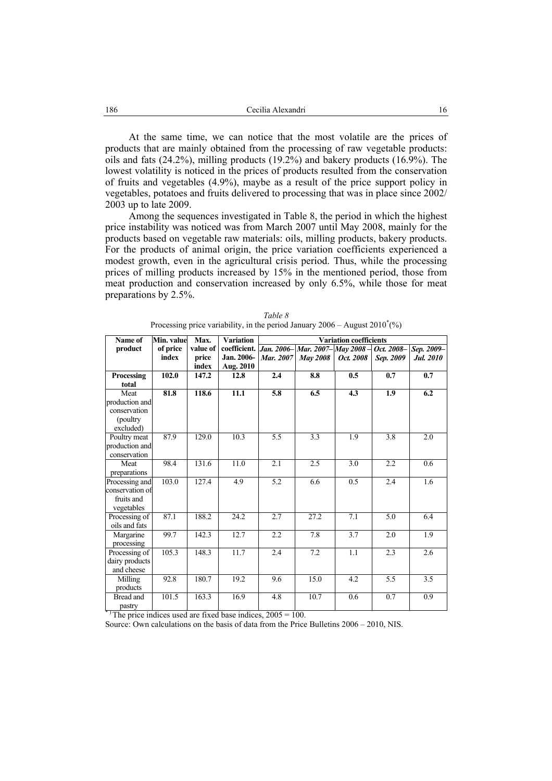At the same time, we can notice that the most volatile are the prices of products that are mainly obtained from the processing of raw vegetable products: oils and fats  $(24.2\%)$ , milling products  $(19.2\%)$  and bakery products  $(16.9\%)$ . The lowest volatility is noticed in the prices of products resulted from the conservation of fruits and vegetables (4.9%), maybe as a result of the price support policy in vegetables, potatoes and fruits delivered to processing that was in place since 2002/ 2003 up to late 2009.

Among the sequences investigated in Table 8, the period in which the highest price instability was noticed was from March 2007 until May 2008, mainly for the products based on vegetable raw materials: oils, milling products, bakery products. For the products of animal origin, the price variation coefficients experienced a modest growth, even in the agricultural crisis period. Thus, while the processing prices of milling products increased by 15% in the mentioned period, those from meat production and conservation increased by only 6.5%, while those for meat preparations by 2.5%.

| Name of         | Min. value | Max.           | <b>Variation</b>        | <b>Variation coefficients</b> |                     |           |            |            |  |
|-----------------|------------|----------------|-------------------------|-------------------------------|---------------------|-----------|------------|------------|--|
| product         | of price   | value of       | coefficient.            | Jan. 2006-                    | Mar. 2007-May 2008- |           | Oct. 2008- | Sep. 2009- |  |
|                 | index      | price<br>index | Jan. 2006-<br>Aug. 2010 | <b>Mar.</b> 2007              | <b>May 2008</b>     | Oct. 2008 | Sep. 2009  | Jul. 2010  |  |
| Processing      | 102.0      | 147.2          | 12.8                    | 2.4                           | 8.8                 | 0.5       | 0.7        | 0.7        |  |
| total           |            |                |                         |                               |                     |           |            |            |  |
| Meat            | 81.8       | 118.6          | $\overline{11.1}$       | 5.8                           | 6.5                 | 4.3       | 1.9        | 6.2        |  |
| production and  |            |                |                         |                               |                     |           |            |            |  |
| conservation    |            |                |                         |                               |                     |           |            |            |  |
| (poultry)       |            |                |                         |                               |                     |           |            |            |  |
| excluded)       |            |                |                         |                               |                     |           |            |            |  |
| Poultry meat    | 87.9       | 129.0          | 10.3                    | 5.5                           | 3.3                 | 1.9       | 3.8        | 2.0        |  |
| production and  |            |                |                         |                               |                     |           |            |            |  |
| conservation    |            |                |                         |                               |                     |           |            |            |  |
| Meat            | 98.4       | 131.6          | 11.0                    | 2.1                           | 2.5                 | 3.0       | 2.2        | 0.6        |  |
| preparations    |            |                |                         |                               |                     |           |            |            |  |
| Processing and  | 103.0      | 127.4          | 4.9                     | 5.2                           | 6.6                 | 0.5       | 2.4        | 1.6        |  |
| conservation of |            |                |                         |                               |                     |           |            |            |  |
| fruits and      |            |                |                         |                               |                     |           |            |            |  |
| vegetables      |            |                |                         |                               |                     |           |            |            |  |
| Processing of   | 87.1       | 188.2          | 24.2                    | 2.7                           | 27.2                | 7.1       | 5.0        | 6.4        |  |
| oils and fats   |            |                |                         |                               |                     |           |            |            |  |
| Margarine       | 99.7       | 142.3          | 12.7                    | 2.2                           | 7.8                 | 3.7       | 2.0        | 1.9        |  |
| processing      |            |                |                         |                               |                     |           |            |            |  |
| Processing of   | 105.3      | 148.3          | 11.7                    | 2.4                           | 7.2                 | 1.1       | 2.3        | 2.6        |  |
| dairy products  |            |                |                         |                               |                     |           |            |            |  |
| and cheese      |            |                |                         |                               |                     |           |            |            |  |
| Milling         | 92.8       | 180.7          | 19.2                    | 9.6                           | 15.0                | 4.2       | 5.5        | 3.5        |  |
| products        |            |                |                         |                               |                     |           |            |            |  |
| Bread and       | 101.5      | 163.3          | 16.9                    | 4.8                           | 10.7                | 0.6       | 0.7        | 0.9        |  |
| pastry          |            |                |                         |                               |                     |           |            |            |  |

|                                                                                  | Table 8 |  |
|----------------------------------------------------------------------------------|---------|--|
| Processing price variability, in the period January $2006 -$ August $2010^*(\%)$ |         |  |

 $*$ ) The price indices used are fixed base indices,  $2005 = 100$ .

Source: Own calculations on the basis of data from the Price Bulletins 2006 – 2010, NIS.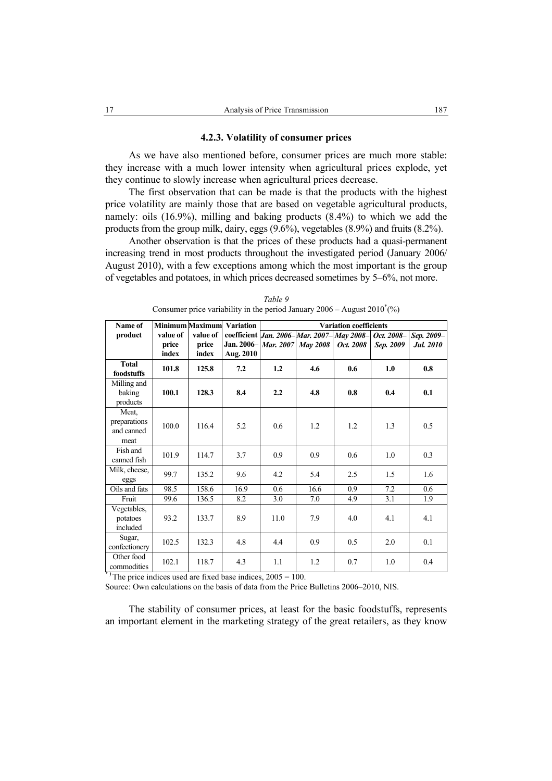# **4.2.3. Volatility of consumer prices**

As we have also mentioned before, consumer prices are much more stable: they increase with a much lower intensity when agricultural prices explode, yet they continue to slowly increase when agricultural prices decrease.

The first observation that can be made is that the products with the highest price volatility are mainly those that are based on vegetable agricultural products, namely: oils (16.9%), milling and baking products (8.4%) to which we add the products from the group milk, dairy, eggs (9.6%), vegetables (8.9%) and fruits (8.2%).

Another observation is that the prices of these products had a quasi-permanent increasing trend in most products throughout the investigated period (January 2006/ August 2010), with a few exceptions among which the most important is the group of vegetables and potatoes, in which prices decreased sometimes by 5–6%, not more.

| Name of                    |          | <b>Minimum Maximum</b> | <b>Variation</b>              |      | <b>Variation coefficients</b> |                                                  |            |            |  |  |
|----------------------------|----------|------------------------|-------------------------------|------|-------------------------------|--------------------------------------------------|------------|------------|--|--|
| product                    | value of | value of               |                               |      |                               | coefficient <i>Jan. 2006–Mar. 2007–May 2008–</i> | Oct. 2008- | Sep. 2009- |  |  |
|                            | price    | price                  | Jan. 2006– Mar. 2007 May 2008 |      |                               | Oct. 2008                                        | Sep. 2009  | Jul. 2010  |  |  |
|                            | index    | index                  | Aug. 2010                     |      |                               |                                                  |            |            |  |  |
| <b>Total</b><br>foodstuffs | 101.8    | 125.8                  | 7.2                           | 1.2  | 4.6                           | 0.6                                              | 1.0        | 0.8        |  |  |
| Milling and                |          |                        |                               |      |                               |                                                  |            |            |  |  |
| baking                     | 100.1    | 128.3                  | 8.4                           | 2.2  | 4.8                           | 0.8                                              | 0.4        | 0.1        |  |  |
| products                   |          |                        |                               |      |                               |                                                  |            |            |  |  |
| Meat,                      |          |                        |                               |      |                               |                                                  |            |            |  |  |
| preparations               | 100.0    | 116.4                  | 5.2                           | 0.6  | 1.2                           | 1.2                                              | 1.3        | 0.5        |  |  |
| and canned                 |          |                        |                               |      |                               |                                                  |            |            |  |  |
| meat                       |          |                        |                               |      |                               |                                                  |            |            |  |  |
| Fish and                   | 101.9    | 114.7                  | 3.7                           | 0.9  | 0.9                           | 0.6                                              | 1.0        | 0.3        |  |  |
| canned fish                |          |                        |                               |      |                               |                                                  |            |            |  |  |
| Milk, cheese,              | 99.7     | 135.2                  | 9.6                           | 4.2  | 5.4                           | 2.5                                              | 1.5        | 1.6        |  |  |
| eggs<br>Oils and fats      | 98.5     | 158.6                  | 16.9                          | 0.6  | 16.6                          | 0.9                                              | 7.2        | 0.6        |  |  |
|                            |          |                        |                               |      |                               |                                                  |            |            |  |  |
| Fruit                      | 99.6     | 136.5                  | 8.2                           | 3.0  | 7.0                           | 4.9                                              | 3.1        | 1.9        |  |  |
| Vegetables,                |          |                        |                               |      |                               |                                                  |            |            |  |  |
| potatoes                   | 93.2     | 133.7                  | 8.9                           | 11.0 | 7.9                           | 4.0                                              | 4.1        | 4.1        |  |  |
| included                   |          |                        |                               |      |                               |                                                  |            |            |  |  |
| Sugar,                     | 102.5    | 132.3                  | 4.8                           | 4.4  | 0.9                           | 0.5                                              | 2.0        | 0.1        |  |  |
| confectionery              |          |                        |                               |      |                               |                                                  |            |            |  |  |
| Other food<br>commodities  | 102.1    | 118.7                  | 4.3                           | 1.1  | 1.2                           | 0.7                                              | 1.0        | 0.4        |  |  |

*Table 9*  Consumer price variability in the period January  $2006 -$  August  $2010^*(\%)$ 

 $*$ ) The price indices used are fixed base indices,  $2005 = 100$ .

Source: Own calculations on the basis of data from the Price Bulletins 2006–2010, NIS.

The stability of consumer prices, at least for the basic foodstuffs, represents an important element in the marketing strategy of the great retailers, as they know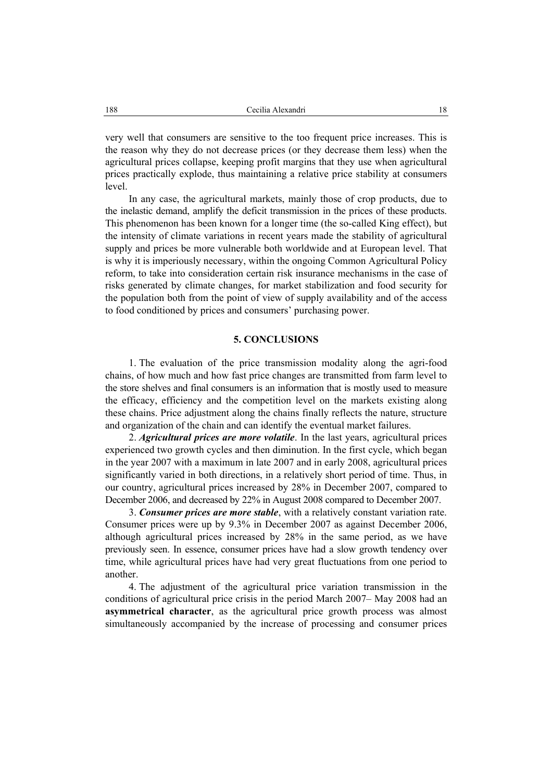very well that consumers are sensitive to the too frequent price increases. This is the reason why they do not decrease prices (or they decrease them less) when the agricultural prices collapse, keeping profit margins that they use when agricultural prices practically explode, thus maintaining a relative price stability at consumers level.

In any case, the agricultural markets, mainly those of crop products, due to the inelastic demand, amplify the deficit transmission in the prices of these products. This phenomenon has been known for a longer time (the so-called King effect), but the intensity of climate variations in recent years made the stability of agricultural supply and prices be more vulnerable both worldwide and at European level. That is why it is imperiously necessary, within the ongoing Common Agricultural Policy reform, to take into consideration certain risk insurance mechanisms in the case of risks generated by climate changes, for market stabilization and food security for the population both from the point of view of supply availability and of the access to food conditioned by prices and consumers' purchasing power.

# **5. CONCLUSIONS**

1. The evaluation of the price transmission modality along the agri-food chains, of how much and how fast price changes are transmitted from farm level to the store shelves and final consumers is an information that is mostly used to measure the efficacy, efficiency and the competition level on the markets existing along these chains. Price adjustment along the chains finally reflects the nature, structure and organization of the chain and can identify the eventual market failures.

2. *Agricultural prices are more volatile*. In the last years, agricultural prices experienced two growth cycles and then diminution. In the first cycle, which began in the year 2007 with a maximum in late 2007 and in early 2008, agricultural prices significantly varied in both directions, in a relatively short period of time. Thus, in our country, agricultural prices increased by 28% in December 2007, compared to December 2006, and decreased by 22% in August 2008 compared to December 2007.

3. *Consumer prices are more stable*, with a relatively constant variation rate. Consumer prices were up by 9.3% in December 2007 as against December 2006, although agricultural prices increased by 28% in the same period, as we have previously seen. In essence, consumer prices have had a slow growth tendency over time, while agricultural prices have had very great fluctuations from one period to another.

4. The adjustment of the agricultural price variation transmission in the conditions of agricultural price crisis in the period March 2007– May 2008 had an **asymmetrical character**, as the agricultural price growth process was almost simultaneously accompanied by the increase of processing and consumer prices